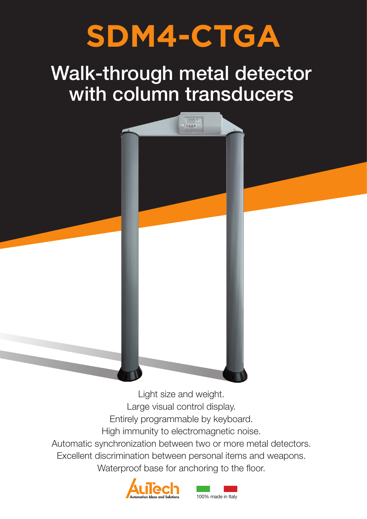# **SDM4-CTGA**

# Walk-through metal detector with column transducers

نا سا ا